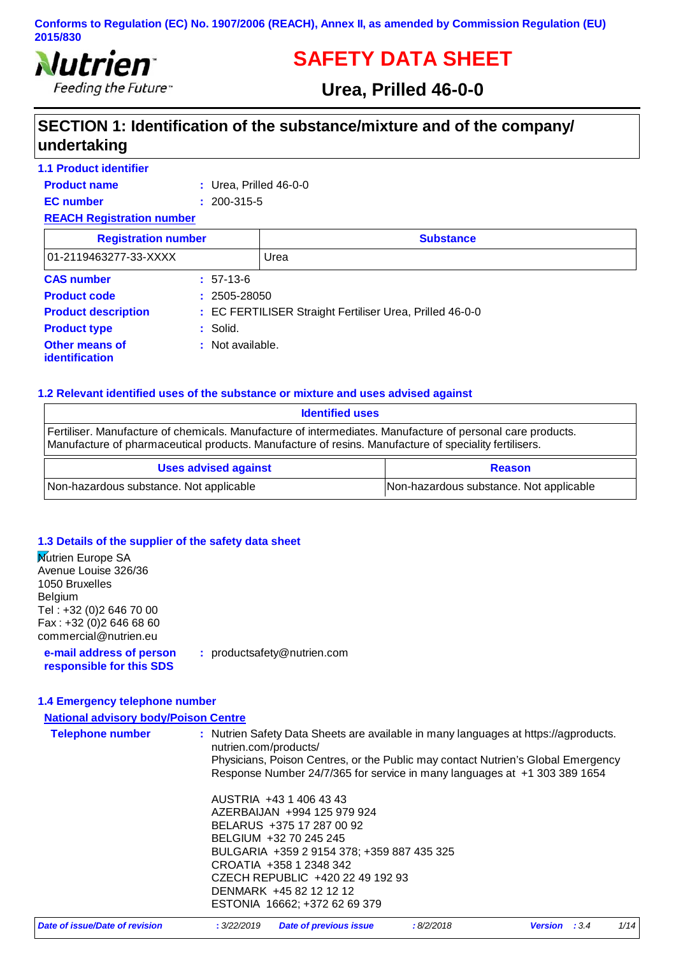

# **SAFETY DATA SHEET**

# **Urea, Prilled 46-0-0**

# **SECTION 1: Identification of the substance/mixture and of the company/ undertaking**

| <b>1.1 Product identifier</b>    |                          |                                                          |  |
|----------------------------------|--------------------------|----------------------------------------------------------|--|
| <b>Product name</b>              | $:$ Urea, Prilled 46-0-0 |                                                          |  |
| <b>EC</b> number                 | $: 200 - 315 - 5$        |                                                          |  |
| <b>REACH Registration number</b> |                          |                                                          |  |
| <b>Registration number</b>       |                          | <b>Substance</b>                                         |  |
| 01-2119463277-33-XXXX            |                          | Urea                                                     |  |
| <b>CAS number</b>                | $: 57-13-6$              |                                                          |  |
| <b>Product code</b>              | $: 2505 - 28050$         |                                                          |  |
| <b>Product description</b>       |                          | : EC FERTILISER Straight Fertiliser Urea, Prilled 46-0-0 |  |
| <b>Product type</b>              | $:$ Solid.               |                                                          |  |
| Other means of<br>identification | : Not available.         |                                                          |  |

### **1.2 Relevant identified uses of the substance or mixture and uses advised against**

| <b>Identified uses</b>                                                                                                                                                                                              |                                         |
|---------------------------------------------------------------------------------------------------------------------------------------------------------------------------------------------------------------------|-----------------------------------------|
| Fertiliser. Manufacture of chemicals. Manufacture of intermediates. Manufacture of personal care products.<br>Manufacture of pharmaceutical products. Manufacture of resins. Manufacture of speciality fertilisers. |                                         |
| <b>Uses advised against</b>                                                                                                                                                                                         | <b>Reason</b>                           |
| Non-hazardous substance. Not applicable                                                                                                                                                                             | Non-hazardous substance. Not applicable |

### **1.3 Details of the supplier of the safety data sheet**

| <b>Mutrien Europe SA</b><br>Avenue Louise 326/36<br>1050 Bruxelles<br>Belgium<br>Tel : +32 (0)2 646 70 00 |                                                                                                                                                                                                                                                                                        |
|-----------------------------------------------------------------------------------------------------------|----------------------------------------------------------------------------------------------------------------------------------------------------------------------------------------------------------------------------------------------------------------------------------------|
| Fax: +32 (0)2 646 68 60<br>commercial@nutrien.eu                                                          |                                                                                                                                                                                                                                                                                        |
| e-mail address of person<br>responsible for this SDS                                                      | : productsafety@nutrien.com                                                                                                                                                                                                                                                            |
| 1.4 Emergency telephone number                                                                            |                                                                                                                                                                                                                                                                                        |
| <b>National advisory body/Poison Centre</b>                                                               |                                                                                                                                                                                                                                                                                        |
| <b>Telephone number</b>                                                                                   | : Nutrien Safety Data Sheets are available in many languages at https://agproducts.<br>nutrien.com/products/<br>Physicians, Poison Centres, or the Public may contact Nutrien's Global Emergency<br>Response Number 24/7/365 for service in many languages at +1 303 389 1654          |
|                                                                                                           | AUSTRIA +43 1 406 43 43<br>AZERBAIJAN +994 125 979 924<br>BELARUS +375 17 287 00 92<br>BELGIUM +32 70 245 245<br>BULGARIA +359 2 9154 378; +359 887 435 325<br>CROATIA +358 1 2348 342<br>CZECH REPUBLIC +420 22 49 192 93<br>DENMARK +45 82 12 12 12<br>ESTONIA 16662; +372 62 69 379 |

| :8/2/2018<br>: 3/22/2019 Date of previous issue<br>Date of issue/Date of revision<br><b>Version</b> : 3.4 | 1/14 |
|-----------------------------------------------------------------------------------------------------------|------|
|-----------------------------------------------------------------------------------------------------------|------|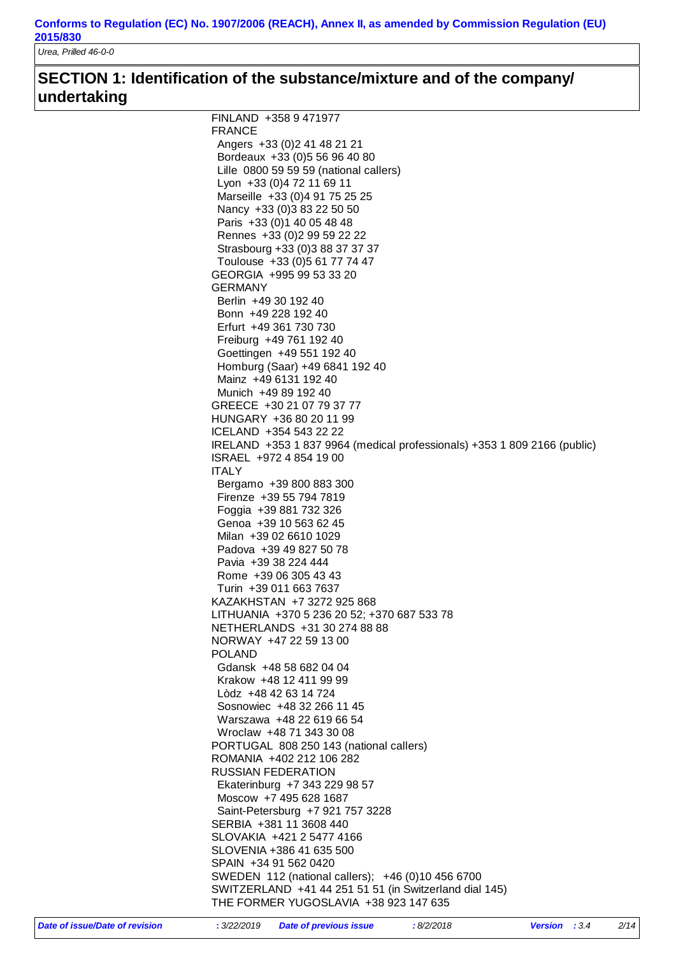*Urea, Prilled 46-0-0*

# **SECTION 1: Identification of the substance/mixture and of the company/ undertaking**

| FINLAND +358 9 471977                                                      |  |
|----------------------------------------------------------------------------|--|
| <b>FRANCE</b>                                                              |  |
| Angers +33 (0) 2 41 48 21 21                                               |  |
| Bordeaux +33 (0) 5 56 96 40 80                                             |  |
| Lille 0800 59 59 59 (national callers)                                     |  |
| Lyon +33 (0) 4 72 11 69 11                                                 |  |
| Marseille +33 (0)4 91 75 25 25                                             |  |
| Nancy +33 (0) 3 83 22 50 50                                                |  |
| Paris +33 (0) 1 40 05 48 48                                                |  |
| Rennes +33 (0) 2 99 59 22 22                                               |  |
| Strasbourg +33 (0)3 88 37 37 37                                            |  |
| Toulouse +33 (0) 5 61 77 74 47                                             |  |
| GEORGIA +995 99 53 33 20                                                   |  |
| <b>GERMANY</b>                                                             |  |
| Berlin +49 30 192 40                                                       |  |
| Bonn +49 228 192 40                                                        |  |
| Erfurt +49 361 730 730                                                     |  |
| Freiburg +49 761 192 40                                                    |  |
| Goettingen +49 551 192 40                                                  |  |
| Homburg (Saar) +49 6841 192 40                                             |  |
| Mainz +49 6131 192 40                                                      |  |
| Munich +49 89 192 40                                                       |  |
| GREECE +30 21 07 79 37 77                                                  |  |
| HUNGARY +36 80 20 11 99                                                    |  |
| ICELAND +354 543 22 22                                                     |  |
| IRELAND +353 1 837 9964 (medical professionals) +353 1 809 2166 (public)   |  |
| ISRAEL +972 4 854 19 00                                                    |  |
| <b>ITALY</b>                                                               |  |
| Bergamo +39 800 883 300                                                    |  |
| Firenze +39 55 794 7819                                                    |  |
| Foggia +39 881 732 326                                                     |  |
| Genoa +39 10 563 62 45                                                     |  |
| Milan +39 02 6610 1029                                                     |  |
| Padova +39 49 827 50 78                                                    |  |
| Pavia +39 38 224 444                                                       |  |
| Rome +39 06 305 43 43                                                      |  |
| Turin +39 011 663 7637                                                     |  |
| KAZAKHSTAN +7 3272 925 868                                                 |  |
| LITHUANIA +370 5 236 20 52; +370 687 533 78                                |  |
| NETHERLANDS +31 30 274 88 88                                               |  |
| NORWAY +47 22 59 13 00                                                     |  |
| <b>POLAND</b>                                                              |  |
| Gdansk +48 58 682 04 04                                                    |  |
| Krakow +48 12 411 99 99                                                    |  |
| Lòdz +48 42 63 14 724                                                      |  |
| Sosnowiec +48 32 266 11 45                                                 |  |
| Warszawa +48 22 619 66 54                                                  |  |
| Wroclaw +48 71 343 30 08                                                   |  |
| PORTUGAL 808 250 143 (national callers)                                    |  |
| ROMANIA +402 212 106 282                                                   |  |
| <b>RUSSIAN FEDERATION</b>                                                  |  |
| Ekaterinburg +7 343 229 98 57                                              |  |
| Moscow +7 495 628 1687                                                     |  |
| Saint-Petersburg +7 921 757 3228                                           |  |
| SERBIA +381 11 3608 440                                                    |  |
| SLOVAKIA +421 2 5477 4166                                                  |  |
| SLOVENIA +386 41 635 500                                                   |  |
| SPAIN +34 91 562 0420<br>SWEDEN 112 (national callers); +46 (0)10 456 6700 |  |
| SWITZERLAND +41 44 251 51 51 (in Switzerland dial 145)                     |  |
| THE FORMER YUGOSLAVIA +38 923 147 635                                      |  |
|                                                                            |  |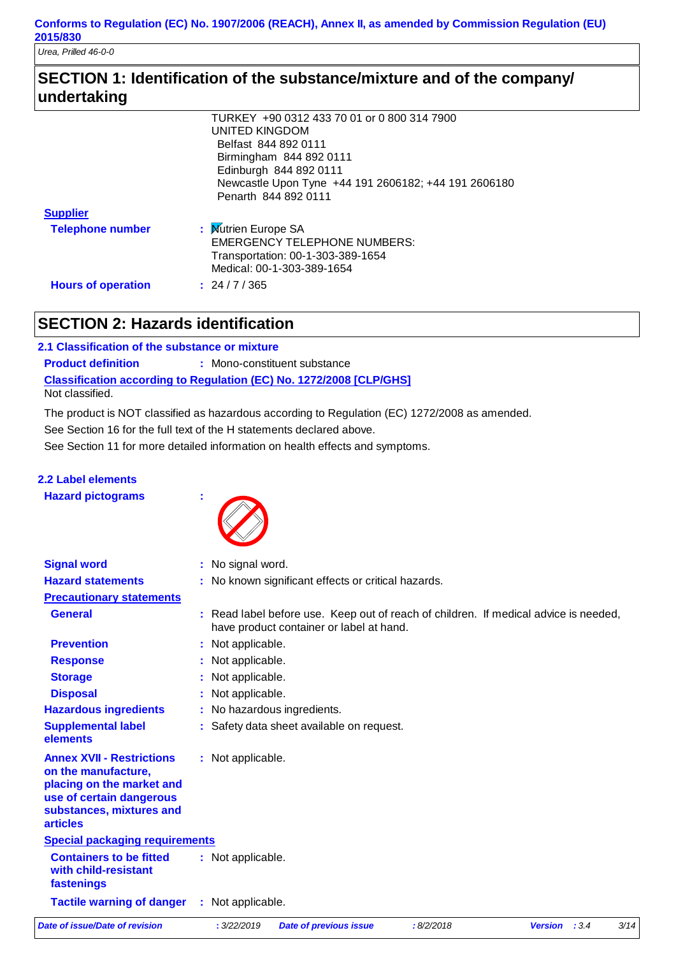*Urea, Prilled 46-0-0*

# **SECTION 1: Identification of the substance/mixture and of the company/ undertaking**

|                           | TURKEY +90 0312 433 70 01 or 0 800 314 7900          |
|---------------------------|------------------------------------------------------|
|                           | UNITED KINGDOM                                       |
|                           | Belfast 844 892 0111                                 |
|                           | Birmingham 844 892 0111                              |
|                           | Edinburgh 844 892 0111                               |
|                           | Newcastle Upon Tyne +44 191 2606182; +44 191 2606180 |
|                           | Penarth 844 892 0111                                 |
| <b>Supplier</b>           |                                                      |
| <b>Telephone number</b>   | : Mutrien Europe SA                                  |
|                           | <b>EMERGENCY TELEPHONE NUMBERS:</b>                  |
|                           | Transportation: 00-1-303-389-1654                    |
|                           | Medical: 00-1-303-389-1654                           |
| <b>Hours of operation</b> | : 24/7/365                                           |

# **SECTION 2: Hazards identification**

**Classification according to Regulation (EC) No. 1272/2008 [CLP/GHS] 2.1 Classification of the substance or mixture Product definition : Mono-constituent substance** Not classified.

The product is NOT classified as hazardous according to Regulation (EC) 1272/2008 as amended.

See Section 16 for the full text of the H statements declared above.

See Section 11 for more detailed information on health effects and symptoms.

# **2.2 Label elements**

**Hazard pictograms :**



| <b>Signal word</b>                                                                                                                                              | : No signal word.                                                                                                                |
|-----------------------------------------------------------------------------------------------------------------------------------------------------------------|----------------------------------------------------------------------------------------------------------------------------------|
| <b>Hazard statements</b>                                                                                                                                        | : No known significant effects or critical hazards.                                                                              |
| <b>Precautionary statements</b>                                                                                                                                 |                                                                                                                                  |
| <b>General</b>                                                                                                                                                  | : Read label before use. Keep out of reach of children. If medical advice is needed,<br>have product container or label at hand. |
| <b>Prevention</b>                                                                                                                                               | : Not applicable.                                                                                                                |
| <b>Response</b>                                                                                                                                                 | : Not applicable.                                                                                                                |
| <b>Storage</b>                                                                                                                                                  | : Not applicable.                                                                                                                |
| <b>Disposal</b>                                                                                                                                                 | : Not applicable.                                                                                                                |
| <b>Hazardous ingredients</b>                                                                                                                                    | : No hazardous ingredients.                                                                                                      |
| <b>Supplemental label</b><br>elements                                                                                                                           | : Safety data sheet available on request.                                                                                        |
| <b>Annex XVII - Restrictions</b><br>on the manufacture,<br>placing on the market and<br>use of certain dangerous<br>substances, mixtures and<br><b>articles</b> | : Not applicable.                                                                                                                |
| <b>Special packaging requirements</b>                                                                                                                           |                                                                                                                                  |
| <b>Containers to be fitted</b><br>with child-resistant<br>fastenings                                                                                            | : Not applicable.                                                                                                                |
| <b>Tactile warning of danger</b>                                                                                                                                | : Not applicable.                                                                                                                |
| Date of issue/Date of revision                                                                                                                                  | : 3/22/2019<br>:8/2/2018<br>: 3.4<br>3/14<br><b>Date of previous issue</b><br><b>Version</b>                                     |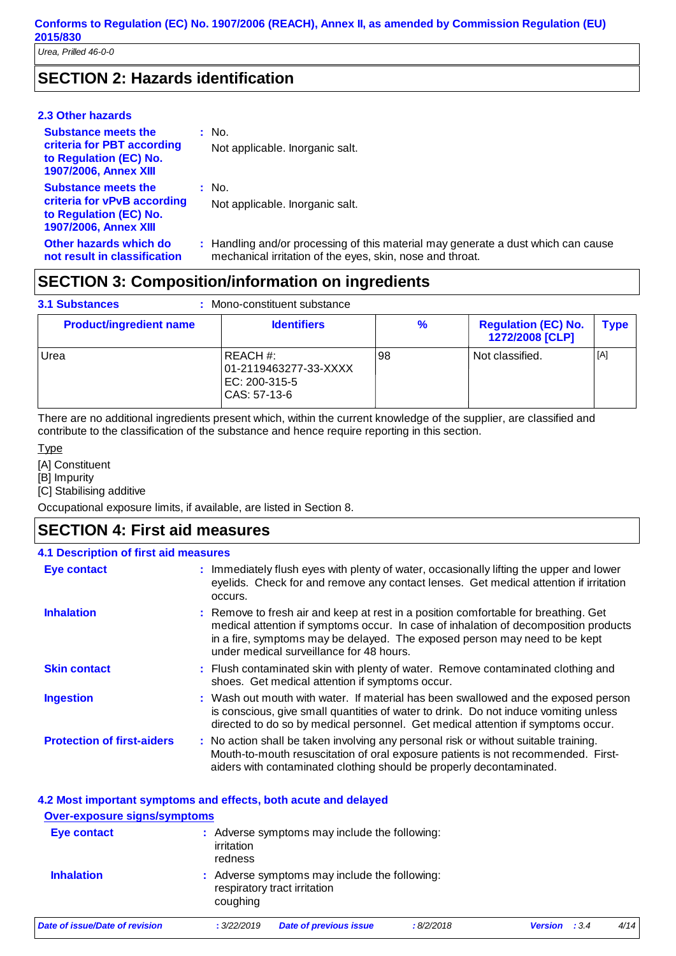# **SECTION 2: Hazards identification**

### **2.3 Other hazards**

| <b>Substance meets the</b><br>criteria for PBT according<br>to Regulation (EC) No.<br><b>1907/2006, Annex XIII</b>  | $:$ No.<br>Not applicable. Inorganic salt.                                                                                                     |
|---------------------------------------------------------------------------------------------------------------------|------------------------------------------------------------------------------------------------------------------------------------------------|
| <b>Substance meets the</b><br>criteria for vPvB according<br>to Regulation (EC) No.<br><b>1907/2006, Annex XIII</b> | : No.<br>Not applicable. Inorganic salt.                                                                                                       |
| Other hazards which do<br>not result in classification                                                              | : Handling and/or processing of this material may generate a dust which can cause<br>mechanical irritation of the eyes, skin, nose and throat. |

# **SECTION 3: Composition/information on ingredients**

| <b>3.1 Substances</b>          | Mono-constituent substance                                         |    |                                               |             |
|--------------------------------|--------------------------------------------------------------------|----|-----------------------------------------------|-------------|
| <b>Product/ingredient name</b> | <b>Identifiers</b>                                                 | %  | <b>Regulation (EC) No.</b><br>1272/2008 [CLP] | <b>Type</b> |
| Urea                           | REACH #:<br>01-2119463277-33-XXXX<br>EC: 200-315-5<br>CAS: 57-13-6 | 98 | Not classified.                               | [A]         |

There are no additional ingredients present which, within the current knowledge of the supplier, are classified and contribute to the classification of the substance and hence require reporting in this section.

### Type

[A] Constituent

[B] Impurity

[C] Stabilising additive

Occupational exposure limits, if available, are listed in Section 8.

# **SECTION 4: First aid measures**

| <b>4.1 Description of first aid measures</b> |                                                                                                                                                                                                                                                                                                       |
|----------------------------------------------|-------------------------------------------------------------------------------------------------------------------------------------------------------------------------------------------------------------------------------------------------------------------------------------------------------|
| Eye contact                                  | : Immediately flush eyes with plenty of water, occasionally lifting the upper and lower<br>eyelids. Check for and remove any contact lenses. Get medical attention if irritation<br>occurs.                                                                                                           |
| <b>Inhalation</b>                            | : Remove to fresh air and keep at rest in a position comfortable for breathing. Get<br>medical attention if symptoms occur. In case of inhalation of decomposition products<br>in a fire, symptoms may be delayed. The exposed person may need to be kept<br>under medical surveillance for 48 hours. |
| <b>Skin contact</b>                          | : Flush contaminated skin with plenty of water. Remove contaminated clothing and<br>shoes. Get medical attention if symptoms occur.                                                                                                                                                                   |
| <b>Ingestion</b>                             | : Wash out mouth with water. If material has been swallowed and the exposed person<br>is conscious, give small quantities of water to drink. Do not induce vomiting unless<br>directed to do so by medical personnel. Get medical attention if symptoms occur.                                        |
| <b>Protection of first-aiders</b>            | : No action shall be taken involving any personal risk or without suitable training.<br>Mouth-to-mouth resuscitation of oral exposure patients is not recommended. First-<br>aiders with contaminated clothing should be properly decontaminated.                                                     |

| 4.2 Most important symptoms and effects, both acute and delayed<br><b>Over-exposure signs/symptoms</b> |                       |                                                                               |           |                         |      |
|--------------------------------------------------------------------------------------------------------|-----------------------|-------------------------------------------------------------------------------|-----------|-------------------------|------|
| Eye contact                                                                                            | irritation<br>redness | : Adverse symptoms may include the following:                                 |           |                         |      |
| <b>Inhalation</b>                                                                                      | coughing              | : Adverse symptoms may include the following:<br>respiratory tract irritation |           |                         |      |
| Date of issue/Date of revision                                                                         | : 3/22/2019           | <b>Date of previous issue</b>                                                 | :8/2/2018 | <b>Version</b><br>: 3.4 | 4/14 |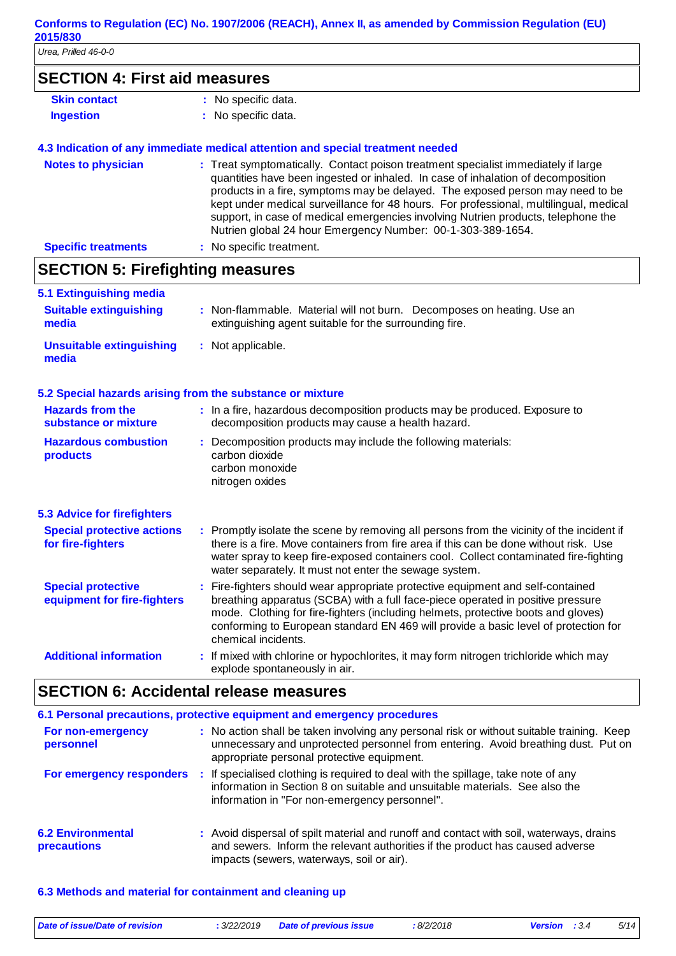*Urea, Prilled 46-0-0*

| <b>SECTION 4: First aid measures</b>                     |                                                                                                                                                                                                                                                                                                                                                                                                                                                                                                      |
|----------------------------------------------------------|------------------------------------------------------------------------------------------------------------------------------------------------------------------------------------------------------------------------------------------------------------------------------------------------------------------------------------------------------------------------------------------------------------------------------------------------------------------------------------------------------|
|                                                          |                                                                                                                                                                                                                                                                                                                                                                                                                                                                                                      |
| <b>Skin contact</b>                                      | : No specific data.                                                                                                                                                                                                                                                                                                                                                                                                                                                                                  |
| <b>Ingestion</b>                                         | : No specific data.                                                                                                                                                                                                                                                                                                                                                                                                                                                                                  |
|                                                          | 4.3 Indication of any immediate medical attention and special treatment needed                                                                                                                                                                                                                                                                                                                                                                                                                       |
| <b>Notes to physician</b>                                | : Treat symptomatically. Contact poison treatment specialist immediately if large<br>quantities have been ingested or inhaled. In case of inhalation of decomposition<br>products in a fire, symptoms may be delayed. The exposed person may need to be<br>kept under medical surveillance for 48 hours. For professional, multilingual, medical<br>support, in case of medical emergencies involving Nutrien products, telephone the<br>Nutrien global 24 hour Emergency Number: 00-1-303-389-1654. |
| <b>Specific treatments</b>                               | : No specific treatment.                                                                                                                                                                                                                                                                                                                                                                                                                                                                             |
| <b>SECTION 5: Firefighting measures</b>                  |                                                                                                                                                                                                                                                                                                                                                                                                                                                                                                      |
| 5.1 Extinguishing media                                  |                                                                                                                                                                                                                                                                                                                                                                                                                                                                                                      |
| <b>Suitable extinguishing</b><br>media                   | : Non-flammable. Material will not burn. Decomposes on heating. Use an<br>extinguishing agent suitable for the surrounding fire.                                                                                                                                                                                                                                                                                                                                                                     |
| <b>Unsuitable extinguishing</b><br>media                 | : Not applicable.                                                                                                                                                                                                                                                                                                                                                                                                                                                                                    |
|                                                          |                                                                                                                                                                                                                                                                                                                                                                                                                                                                                                      |
|                                                          | 5.2 Special hazards arising from the substance or mixture                                                                                                                                                                                                                                                                                                                                                                                                                                            |
| <b>Hazards from the</b><br>substance or mixture          | : In a fire, hazardous decomposition products may be produced. Exposure to<br>decomposition products may cause a health hazard.                                                                                                                                                                                                                                                                                                                                                                      |
| <b>Hazardous combustion</b><br>products                  | : Decomposition products may include the following materials:<br>carbon dioxide<br>carbon monoxide<br>nitrogen oxides                                                                                                                                                                                                                                                                                                                                                                                |
| <b>5.3 Advice for firefighters</b>                       |                                                                                                                                                                                                                                                                                                                                                                                                                                                                                                      |
| <b>Special protective actions</b><br>for fire-fighters   | : Promptly isolate the scene by removing all persons from the vicinity of the incident if<br>there is a fire. Move containers from fire area if this can be done without risk. Use<br>water spray to keep fire-exposed containers cool. Collect contaminated fire-fighting<br>water separately. It must not enter the sewage system.                                                                                                                                                                 |
| <b>Special protective</b><br>equipment for fire-fighters | Fire-fighters should wear appropriate protective equipment and self-contained<br>breathing apparatus (SCBA) with a full face-piece operated in positive pressure<br>mode. Clothing for fire-fighters (including helmets, protective boots and gloves)<br>conforming to European standard EN 469 will provide a basic level of protection for<br>chemical incidents.                                                                                                                                  |

|                                                | 6.1 Personal precautions, protective equipment and emergency procedures |                                                                                                                                                                                                                              |  |  |  |  |
|------------------------------------------------|-------------------------------------------------------------------------|------------------------------------------------------------------------------------------------------------------------------------------------------------------------------------------------------------------------------|--|--|--|--|
| For non-emergency<br>personnel                 |                                                                         | : No action shall be taken involving any personal risk or without suitable training. Keep<br>unnecessary and unprotected personnel from entering. Avoid breathing dust. Put on<br>appropriate personal protective equipment. |  |  |  |  |
| For emergency responders                       |                                                                         | If specialised clothing is required to deal with the spillage, take note of any<br>information in Section 8 on suitable and unsuitable materials. See also the<br>information in "For non-emergency personnel".              |  |  |  |  |
| <b>6.2 Environmental</b><br><b>precautions</b> |                                                                         | : Avoid dispersal of spilt material and runoff and contact with soil, waterways, drains<br>and sewers. Inform the relevant authorities if the product has caused adverse<br>impacts (sewers, waterways, soil or air).        |  |  |  |  |

### **6.3 Methods and material for containment and cleaning up**

| Date of issue/Date of revision | : 3/22/2019 | <b>Date of previous issue</b> | : 8/2/2018 | <b>Version</b> : 3.4 | 5/14 |
|--------------------------------|-------------|-------------------------------|------------|----------------------|------|
|                                |             |                               |            |                      |      |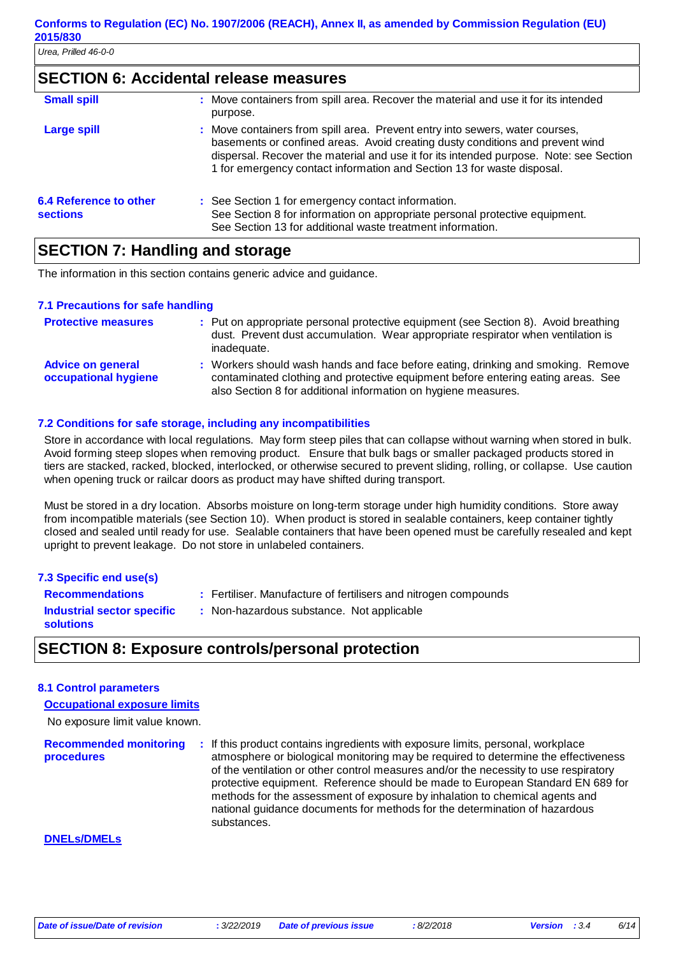### **SECTION 6: Accidental release measures**

| <b>Small spill</b>                               | : Move containers from spill area. Recover the material and use it for its intended<br>purpose.                                                                                                                                                                                                                                   |
|--------------------------------------------------|-----------------------------------------------------------------------------------------------------------------------------------------------------------------------------------------------------------------------------------------------------------------------------------------------------------------------------------|
| <b>Large spill</b>                               | : Move containers from spill area. Prevent entry into sewers, water courses,<br>basements or confined areas. Avoid creating dusty conditions and prevent wind<br>dispersal. Recover the material and use it for its intended purpose. Note: see Section<br>1 for emergency contact information and Section 13 for waste disposal. |
| <b>6.4 Reference to other</b><br><b>sections</b> | : See Section 1 for emergency contact information.<br>See Section 8 for information on appropriate personal protective equipment.<br>See Section 13 for additional waste treatment information.                                                                                                                                   |

### **SECTION 7: Handling and storage**

The information in this section contains generic advice and guidance.

### **7.1 Precautions for safe handling**

| <b>Protective measures</b>                       | : Put on appropriate personal protective equipment (see Section 8). Avoid breathing<br>dust. Prevent dust accumulation. Wear appropriate respirator when ventilation is<br>inadequate.                                                 |
|--------------------------------------------------|----------------------------------------------------------------------------------------------------------------------------------------------------------------------------------------------------------------------------------------|
| <b>Advice on general</b><br>occupational hygiene | : Workers should wash hands and face before eating, drinking and smoking. Remove<br>contaminated clothing and protective equipment before entering eating areas. See<br>also Section 8 for additional information on hygiene measures. |

### **7.2 Conditions for safe storage, including any incompatibilities**

Store in accordance with local regulations. May form steep piles that can collapse without warning when stored in bulk. Avoid forming steep slopes when removing product. Ensure that bulk bags or smaller packaged products stored in tiers are stacked, racked, blocked, interlocked, or otherwise secured to prevent sliding, rolling, or collapse. Use caution when opening truck or railcar doors as product may have shifted during transport.

Must be stored in a dry location. Absorbs moisture on long-term storage under high humidity conditions. Store away from incompatible materials (see Section 10). When product is stored in sealable containers, keep container tightly closed and sealed until ready for use. Sealable containers that have been opened must be carefully resealed and kept upright to prevent leakage. Do not store in unlabeled containers.

### **7.3 Specific end use(s)**

Fertiliser. Manufacture of fertilisers and nitrogen compounds

**Recommendations : Industrial sector specific : solutions**

: Non-hazardous substance. Not applicable

### **SECTION 8: Exposure controls/personal protection**

### **8.1 Control parameters**

**Occupational exposure limits**

No exposure limit value known.

**Recommended monitoring procedures :** If this product contains ingredients with exposure limits, personal, workplace atmosphere or biological monitoring may be required to determine the effectiveness of the ventilation or other control measures and/or the necessity to use respiratory protective equipment. Reference should be made to European Standard EN 689 for methods for the assessment of exposure by inhalation to chemical agents and national guidance documents for methods for the determination of hazardous substances.

### **DNELs/DMELs**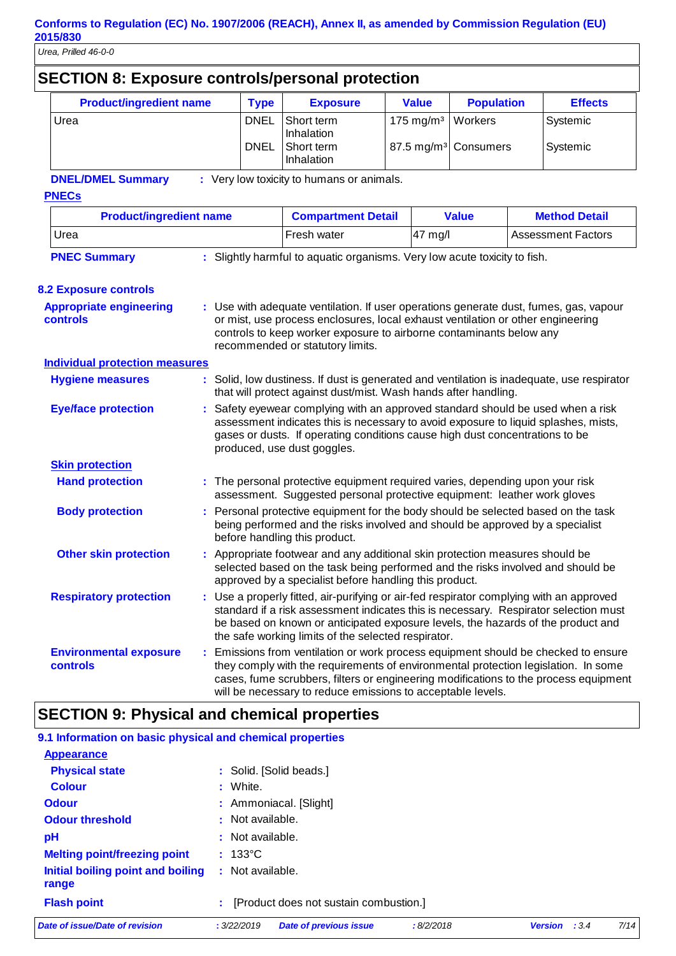|                                                   | <b>SECTION 8: Exposure controls/personal protection</b> |  |                                                                                                                                                                                                                                                                                     |                                                                                                                                                                                                                                                                                                                                 |                         |                                  |                           |
|---------------------------------------------------|---------------------------------------------------------|--|-------------------------------------------------------------------------------------------------------------------------------------------------------------------------------------------------------------------------------------------------------------------------------------|---------------------------------------------------------------------------------------------------------------------------------------------------------------------------------------------------------------------------------------------------------------------------------------------------------------------------------|-------------------------|----------------------------------|---------------------------|
|                                                   | <b>Product/ingredient name</b>                          |  | <b>Type</b>                                                                                                                                                                                                                                                                         | <b>Exposure</b>                                                                                                                                                                                                                                                                                                                 | <b>Value</b>            | <b>Population</b>                | <b>Effects</b>            |
|                                                   | Urea                                                    |  | <b>DNEL</b>                                                                                                                                                                                                                                                                         | Short term<br>Inhalation                                                                                                                                                                                                                                                                                                        | $175$ mg/m <sup>3</sup> | Workers                          | Systemic                  |
|                                                   |                                                         |  | DNEL                                                                                                                                                                                                                                                                                | Short term<br>Inhalation                                                                                                                                                                                                                                                                                                        |                         | 87.5 mg/m <sup>3</sup> Consumers | Systemic                  |
|                                                   | <b>DNEL/DMEL Summary</b><br><b>PNECs</b>                |  |                                                                                                                                                                                                                                                                                     | : Very low toxicity to humans or animals.                                                                                                                                                                                                                                                                                       |                         |                                  |                           |
|                                                   | <b>Product/ingredient name</b>                          |  |                                                                                                                                                                                                                                                                                     | <b>Compartment Detail</b>                                                                                                                                                                                                                                                                                                       |                         | <b>Value</b>                     | <b>Method Detail</b>      |
|                                                   | Urea                                                    |  |                                                                                                                                                                                                                                                                                     | Fresh water                                                                                                                                                                                                                                                                                                                     | 47 mg/l                 |                                  | <b>Assessment Factors</b> |
|                                                   | <b>PNEC Summary</b>                                     |  |                                                                                                                                                                                                                                                                                     | : Slightly harmful to aquatic organisms. Very low acute toxicity to fish.                                                                                                                                                                                                                                                       |                         |                                  |                           |
|                                                   | <b>8.2 Exposure controls</b>                            |  |                                                                                                                                                                                                                                                                                     |                                                                                                                                                                                                                                                                                                                                 |                         |                                  |                           |
| <b>Appropriate engineering</b><br><b>controls</b> |                                                         |  | : Use with adequate ventilation. If user operations generate dust, fumes, gas, vapour<br>or mist, use process enclosures, local exhaust ventilation or other engineering<br>controls to keep worker exposure to airborne contaminants below any<br>recommended or statutory limits. |                                                                                                                                                                                                                                                                                                                                 |                         |                                  |                           |
|                                                   | <b>Individual protection measures</b>                   |  |                                                                                                                                                                                                                                                                                     |                                                                                                                                                                                                                                                                                                                                 |                         |                                  |                           |
|                                                   | <b>Hygiene measures</b>                                 |  |                                                                                                                                                                                                                                                                                     | : Solid, low dustiness. If dust is generated and ventilation is inadequate, use respirator<br>that will protect against dust/mist. Wash hands after handling.                                                                                                                                                                   |                         |                                  |                           |
|                                                   | <b>Eye/face protection</b>                              |  |                                                                                                                                                                                                                                                                                     | Safety eyewear complying with an approved standard should be used when a risk<br>assessment indicates this is necessary to avoid exposure to liquid splashes, mists,<br>gases or dusts. If operating conditions cause high dust concentrations to be<br>produced, use dust goggles.                                             |                         |                                  |                           |
|                                                   | <b>Skin protection</b>                                  |  |                                                                                                                                                                                                                                                                                     |                                                                                                                                                                                                                                                                                                                                 |                         |                                  |                           |
|                                                   | <b>Hand protection</b>                                  |  |                                                                                                                                                                                                                                                                                     | : The personal protective equipment required varies, depending upon your risk<br>assessment. Suggested personal protective equipment: leather work gloves                                                                                                                                                                       |                         |                                  |                           |
|                                                   | <b>Body protection</b>                                  |  |                                                                                                                                                                                                                                                                                     | : Personal protective equipment for the body should be selected based on the task<br>being performed and the risks involved and should be approved by a specialist<br>before handling this product.                                                                                                                             |                         |                                  |                           |
|                                                   | <b>Other skin protection</b>                            |  |                                                                                                                                                                                                                                                                                     | : Appropriate footwear and any additional skin protection measures should be<br>selected based on the task being performed and the risks involved and should be<br>approved by a specialist before handling this product.                                                                                                       |                         |                                  |                           |
|                                                   | <b>Respiratory protection</b>                           |  |                                                                                                                                                                                                                                                                                     | : Use a properly fitted, air-purifying or air-fed respirator complying with an approved<br>standard if a risk assessment indicates this is necessary. Respirator selection must<br>be based on known or anticipated exposure levels, the hazards of the product and<br>the safe working limits of the selected respirator.      |                         |                                  |                           |
|                                                   | <b>Environmental exposure</b><br>controls               |  |                                                                                                                                                                                                                                                                                     | : Emissions from ventilation or work process equipment should be checked to ensure<br>they comply with the requirements of environmental protection legislation. In some<br>cases, fume scrubbers, filters or engineering modifications to the process equipment<br>will be necessary to reduce emissions to acceptable levels. |                         |                                  |                           |

# **SECTION 9: Physical and chemical properties**

| Date of issue/Date of revision                            | <b>Date of previous issue</b><br>:8/2/2018<br>: 3/22/2019 | 7/14<br><b>Version</b><br>: 3.4 |
|-----------------------------------------------------------|-----------------------------------------------------------|---------------------------------|
| <b>Flash point</b>                                        | : [Product does not sustain combustion.]                  |                                 |
| Initial boiling point and boiling<br>range                | : Not available.                                          |                                 |
| <b>Melting point/freezing point</b>                       | $: 133^{\circ}$ C                                         |                                 |
| рH                                                        | : Not available.                                          |                                 |
| <b>Odour threshold</b>                                    | : Not available.                                          |                                 |
| <b>Odour</b>                                              | : Ammoniacal. [Slight]                                    |                                 |
| <b>Colour</b>                                             | : White.                                                  |                                 |
| <b>Physical state</b>                                     | : Solid. [Solid beads.]                                   |                                 |
| <b>Appearance</b>                                         |                                                           |                                 |
| 9.1 Information on basic physical and chemical properties |                                                           |                                 |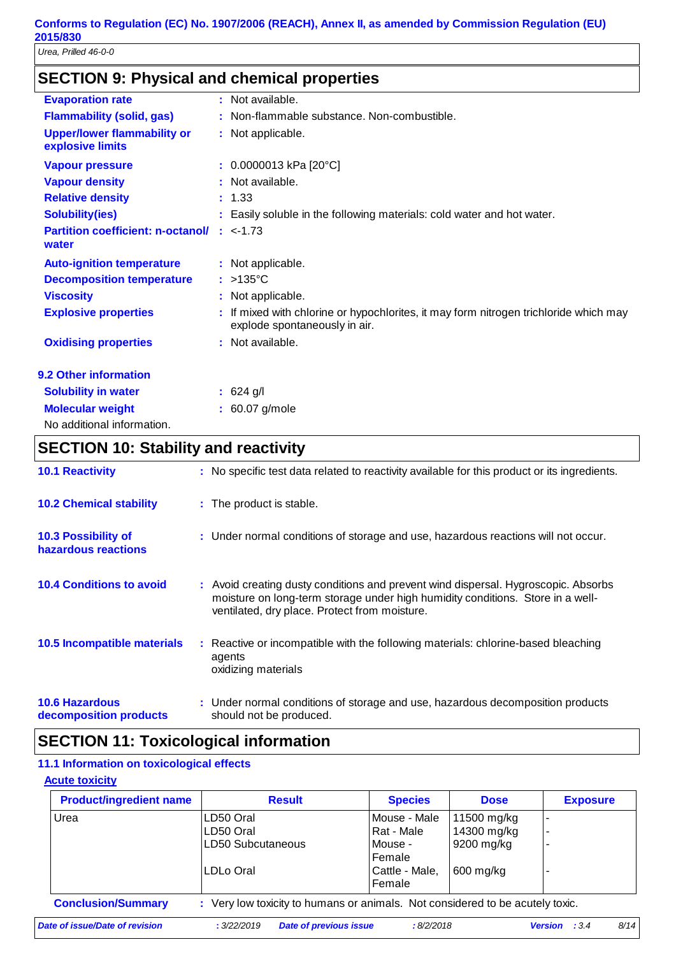# **SECTION 9: Physical and chemical properties**

| <b>Evaporation rate</b>                                | : Not available.                                                                                                       |
|--------------------------------------------------------|------------------------------------------------------------------------------------------------------------------------|
| <b>Flammability (solid, gas)</b>                       | : Non-flammable substance. Non-combustible.                                                                            |
| <b>Upper/lower flammability or</b><br>explosive limits | : Not applicable.                                                                                                      |
| <b>Vapour pressure</b>                                 | $: 0.0000013$ kPa [20°C]                                                                                               |
| <b>Vapour density</b>                                  | : Not available.                                                                                                       |
| <b>Relative density</b>                                | : 1.33                                                                                                                 |
| <b>Solubility(ies)</b>                                 | : Easily soluble in the following materials: cold water and hot water.                                                 |
| <b>Partition coefficient: n-octanol/</b><br>water      | $: < -1.73$                                                                                                            |
| <b>Auto-ignition temperature</b>                       | : Not applicable.                                                                                                      |
| <b>Decomposition temperature</b>                       | $:$ >135 °C                                                                                                            |
| <b>Viscosity</b>                                       | : Not applicable.                                                                                                      |
| <b>Explosive properties</b>                            | : If mixed with chlorine or hypochlorites, it may form nitrogen trichloride which may<br>explode spontaneously in air. |
| <b>Oxidising properties</b>                            | : Not available.                                                                                                       |
| 9.2 Other information                                  |                                                                                                                        |
| <b>Solubility in water</b>                             | $: 624$ g/l                                                                                                            |
| <b>Molecular weight</b>                                | $: 60.07$ g/mole                                                                                                       |
| No additional information.                             |                                                                                                                        |

# **SECTION 10: Stability and reactivity**

| <b>10.1 Reactivity</b>                            | : No specific test data related to reactivity available for this product or its ingredients.                                                                                                                          |
|---------------------------------------------------|-----------------------------------------------------------------------------------------------------------------------------------------------------------------------------------------------------------------------|
| <b>10.2 Chemical stability</b>                    | : The product is stable.                                                                                                                                                                                              |
| <b>10.3 Possibility of</b><br>hazardous reactions | : Under normal conditions of storage and use, hazardous reactions will not occur.                                                                                                                                     |
| <b>10.4 Conditions to avoid</b>                   | : Avoid creating dusty conditions and prevent wind dispersal. Hygroscopic. Absorbs<br>moisture on long-term storage under high humidity conditions. Store in a well-<br>ventilated, dry place. Protect from moisture. |
| 10.5 Incompatible materials                       | : Reactive or incompatible with the following materials: chlorine-based bleaching<br>agents<br>oxidizing materials                                                                                                    |
| <b>10.6 Hazardous</b><br>decomposition products   | : Under normal conditions of storage and use, hazardous decomposition products<br>should not be produced.                                                                                                             |

# **SECTION 11: Toxicological information**

### **11.1 Information on toxicological effects**

### **Acute toxicity**

| <b>Product/ingredient name</b> | <b>Result</b>                                                                 | <b>Species</b>           | <b>Dose</b> | <b>Exposure</b>                 |
|--------------------------------|-------------------------------------------------------------------------------|--------------------------|-------------|---------------------------------|
| Urea                           | LD50 Oral                                                                     | Mouse - Male             | 11500 mg/kg | -                               |
|                                | LD50 Oral                                                                     | Rat - Male               | 14300 mg/kg | ۰                               |
|                                | LD50 Subcutaneous                                                             | Mouse -                  | 9200 mg/kg  | -                               |
|                                |                                                                               | Female                   |             |                                 |
|                                | LDLo Oral                                                                     | Cattle - Male,<br>Female | $600$ mg/kg | ۰                               |
| <b>Conclusion/Summary</b>      | : Very low toxicity to humans or animals. Not considered to be acutely toxic. |                          |             |                                 |
| Date of issue/Date of revision | : 3/22/2019<br><b>Date of previous issue</b>                                  | :8/2/2018                |             | 8/14<br><b>Version</b><br>: 3.4 |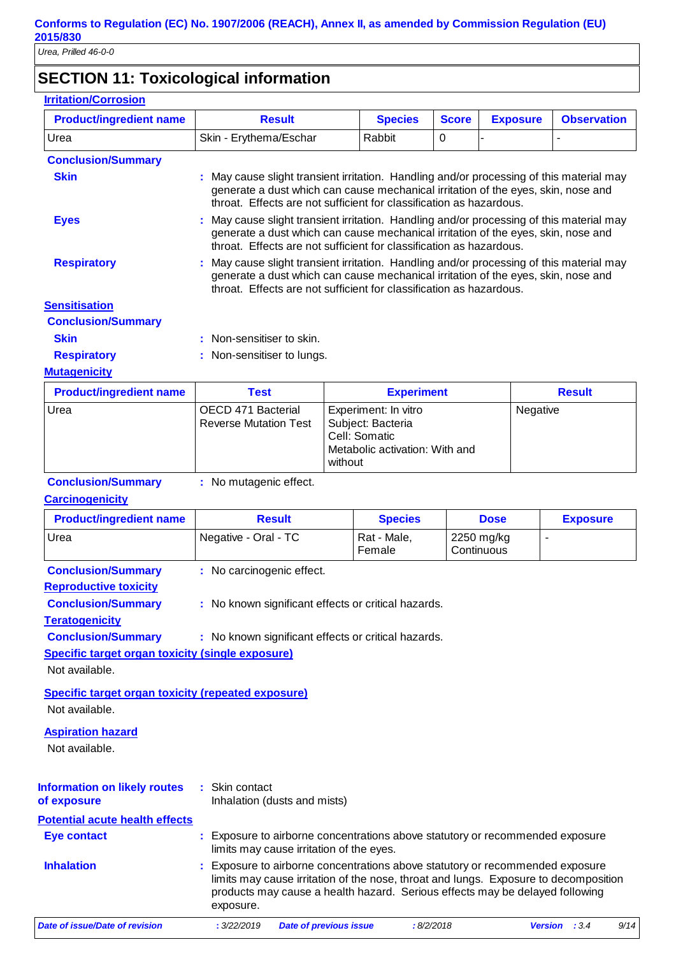# **SECTION 11: Toxicological information**

| <b>Irritation/Corrosion</b>    |                                  |                                                                                                                                                                                                                                                      |               |                 |                    |  |  |  |  |
|--------------------------------|----------------------------------|------------------------------------------------------------------------------------------------------------------------------------------------------------------------------------------------------------------------------------------------------|---------------|-----------------|--------------------|--|--|--|--|
| <b>Product/ingredient name</b> | <b>Result</b>                    | <b>Species</b><br><b>Score</b>                                                                                                                                                                                                                       |               | <b>Exposure</b> | <b>Observation</b> |  |  |  |  |
| Urea                           | Skin - Erythema/Eschar           | Rabbit<br>$\Omega$                                                                                                                                                                                                                                   |               |                 |                    |  |  |  |  |
| <b>Conclusion/Summary</b>      |                                  |                                                                                                                                                                                                                                                      |               |                 |                    |  |  |  |  |
| <b>Skin</b>                    |                                  | : May cause slight transient irritation. Handling and/or processing of this material may<br>generate a dust which can cause mechanical irritation of the eyes, skin, nose and<br>throat. Effects are not sufficient for classification as hazardous. |               |                 |                    |  |  |  |  |
| <b>Eyes</b>                    |                                  | : May cause slight transient irritation. Handling and/or processing of this material may<br>generate a dust which can cause mechanical irritation of the eyes, skin, nose and<br>throat. Effects are not sufficient for classification as hazardous. |               |                 |                    |  |  |  |  |
| <b>Respiratory</b>             |                                  | : May cause slight transient irritation. Handling and/or processing of this material may<br>generate a dust which can cause mechanical irritation of the eyes, skin, nose and<br>throat. Effects are not sufficient for classification as hazardous. |               |                 |                    |  |  |  |  |
| <b>Sensitisation</b>           |                                  |                                                                                                                                                                                                                                                      |               |                 |                    |  |  |  |  |
| <b>Conclusion/Summary</b>      |                                  |                                                                                                                                                                                                                                                      |               |                 |                    |  |  |  |  |
| <b>Skin</b>                    | : Non-sensitiser to skin.        |                                                                                                                                                                                                                                                      |               |                 |                    |  |  |  |  |
| <b>Respiratory</b>             | : Non-sensitiser to lungs.       |                                                                                                                                                                                                                                                      |               |                 |                    |  |  |  |  |
| <b>Mutagenicity</b>            |                                  |                                                                                                                                                                                                                                                      |               |                 |                    |  |  |  |  |
| <b>Product/ingredient name</b> | <b>Test</b><br><b>Experiment</b> |                                                                                                                                                                                                                                                      | <b>Result</b> |                 |                    |  |  |  |  |
|                                |                                  |                                                                                                                                                                                                                                                      |               |                 |                    |  |  |  |  |

|      | .                            | <b>EAPVITHVIII</b>             | .        |
|------|------------------------------|--------------------------------|----------|
| Urea | OECD 471 Bacterial           | Experiment: In vitro           | Negative |
|      | <b>Reverse Mutation Test</b> | Subject: Bacteria              |          |
|      |                              | l Cell: Somatic                |          |
|      |                              | Metabolic activation: With and |          |
|      |                              | without                        |          |

| <b>Conclusion/Summary</b> | : No mutagenic effect. |
|---------------------------|------------------------|
|---------------------------|------------------------|

### **Carcinogenicity**

| varvinogomon y                                            |                                                                                                                                                                                                                                                                  |                       |                          |                 |  |
|-----------------------------------------------------------|------------------------------------------------------------------------------------------------------------------------------------------------------------------------------------------------------------------------------------------------------------------|-----------------------|--------------------------|-----------------|--|
| <b>Product/ingredient name</b>                            | <b>Result</b>                                                                                                                                                                                                                                                    | <b>Species</b>        | <b>Dose</b>              | <b>Exposure</b> |  |
| Urea                                                      | Negative - Oral - TC                                                                                                                                                                                                                                             | Rat - Male,<br>Female | 2250 mg/kg<br>Continuous | $\blacksquare$  |  |
| <b>Conclusion/Summary</b>                                 | : No carcinogenic effect.                                                                                                                                                                                                                                        |                       |                          |                 |  |
| <b>Reproductive toxicity</b>                              |                                                                                                                                                                                                                                                                  |                       |                          |                 |  |
| <b>Conclusion/Summary</b>                                 | : No known significant effects or critical hazards.                                                                                                                                                                                                              |                       |                          |                 |  |
| <b>Teratogenicity</b>                                     |                                                                                                                                                                                                                                                                  |                       |                          |                 |  |
| <b>Conclusion/Summary</b>                                 | : No known significant effects or critical hazards.                                                                                                                                                                                                              |                       |                          |                 |  |
| <b>Specific target organ toxicity (single exposure)</b>   |                                                                                                                                                                                                                                                                  |                       |                          |                 |  |
| Not available.                                            |                                                                                                                                                                                                                                                                  |                       |                          |                 |  |
| <b>Specific target organ toxicity (repeated exposure)</b> |                                                                                                                                                                                                                                                                  |                       |                          |                 |  |
| Not available.                                            |                                                                                                                                                                                                                                                                  |                       |                          |                 |  |
| <b>Aspiration hazard</b>                                  |                                                                                                                                                                                                                                                                  |                       |                          |                 |  |
| Not available.                                            |                                                                                                                                                                                                                                                                  |                       |                          |                 |  |
|                                                           |                                                                                                                                                                                                                                                                  |                       |                          |                 |  |
| <b>Information on likely routes</b>                       | : Skin contact                                                                                                                                                                                                                                                   |                       |                          |                 |  |
| of exposure                                               | Inhalation (dusts and mists)                                                                                                                                                                                                                                     |                       |                          |                 |  |
| <b>Potential acute health effects</b>                     |                                                                                                                                                                                                                                                                  |                       |                          |                 |  |
| <b>Eye contact</b>                                        | Exposure to airborne concentrations above statutory or recommended exposure<br>limits may cause irritation of the eyes.                                                                                                                                          |                       |                          |                 |  |
| <b>Inhalation</b>                                         | Exposure to airborne concentrations above statutory or recommended exposure<br>limits may cause irritation of the nose, throat and lungs. Exposure to decomposition<br>products may cause a health hazard. Serious effects may be delayed following<br>exposure. |                       |                          |                 |  |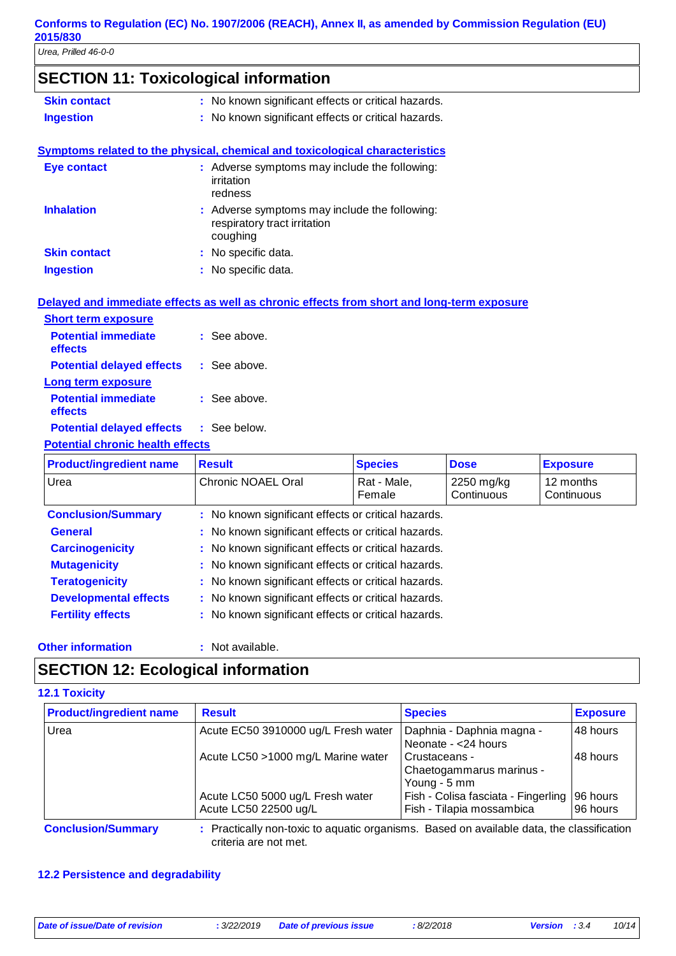# **SECTION 11: Toxicological information**

| <b>Skin contact</b> | : No known significant effects or critical hazards. |
|---------------------|-----------------------------------------------------|
| <b>Ingestion</b>    | : No known significant effects or critical hazards. |

# **Symptoms related to the physical, chemical and toxicological characteristics**

| <b>Eye contact</b>  | : Adverse symptoms may include the following:<br>irritation<br>redness                    |
|---------------------|-------------------------------------------------------------------------------------------|
| <b>Inhalation</b>   | : Adverse symptoms may include the following:<br>respiratory tract irritation<br>coughing |
| <b>Skin contact</b> | : No specific data.                                                                       |
| <b>Ingestion</b>    | : No specific data.                                                                       |
|                     |                                                                                           |

### **Delayed and immediate effects as well as chronic effects from short and long-term exposure**

| <b>Short term exposure</b>            |                         |
|---------------------------------------|-------------------------|
| <b>Potential immediate</b><br>effects | $:$ See above.          |
| <b>Potential delayed effects</b>      | : See above.            |
| <b>Long term exposure</b>             |                         |
| <b>Potential immediate</b><br>effects | $\therefore$ See above. |
| <b>Potential delayed effects</b>      | : See below.            |

### **Potential chronic health effects**

| <b>Product/ingredient name</b> | <b>Result</b>                                       | <b>Species</b>        | <b>Dose</b>              | <b>Exposure</b>         |  |
|--------------------------------|-----------------------------------------------------|-----------------------|--------------------------|-------------------------|--|
| Urea                           | Chronic NOAEL Oral                                  | Rat - Male,<br>Female | 2250 mg/kg<br>Continuous | 12 months<br>Continuous |  |
| <b>Conclusion/Summary</b>      | : No known significant effects or critical hazards. |                       |                          |                         |  |
| <b>General</b>                 | : No known significant effects or critical hazards. |                       |                          |                         |  |
| <b>Carcinogenicity</b>         | : No known significant effects or critical hazards. |                       |                          |                         |  |
| <b>Mutagenicity</b>            | : No known significant effects or critical hazards. |                       |                          |                         |  |
| <b>Teratogenicity</b>          | : No known significant effects or critical hazards. |                       |                          |                         |  |
| <b>Developmental effects</b>   | : No known significant effects or critical hazards. |                       |                          |                         |  |
| <b>Fertility effects</b>       | : No known significant effects or critical hazards. |                       |                          |                         |  |

### **Other information :**

: Not available.

### **SECTION 12: Ecological information**

### **12.1 Toxicity**

| <b>Product/ingredient name</b> | <b>Result</b>                                                                             | <b>Species</b>                                                   | <b>Exposure</b>      |
|--------------------------------|-------------------------------------------------------------------------------------------|------------------------------------------------------------------|----------------------|
| Urea                           | Acute EC50 3910000 ug/L Fresh water                                                       | Daphnia - Daphnia magna -<br>Neonate - < 24 hours                | 48 hours             |
|                                | Acute LC50 >1000 mg/L Marine water                                                        | Crustaceans -<br>Chaetogammarus marinus -<br>Young - 5 mm        | 48 hours             |
|                                | Acute LC50 5000 ug/L Fresh water<br>Acute LC50 22500 ug/L                                 | Fish - Colisa fasciata - Fingerling<br>Fish - Tilapia mossambica | 96 hours<br>96 hours |
| <b>Conclusion/Summary</b>      | : Practically non-toxic to aquatic organisms. Based on available data, the classification |                                                                  |                      |

criteria are not met.

### **12.2 Persistence and degradability**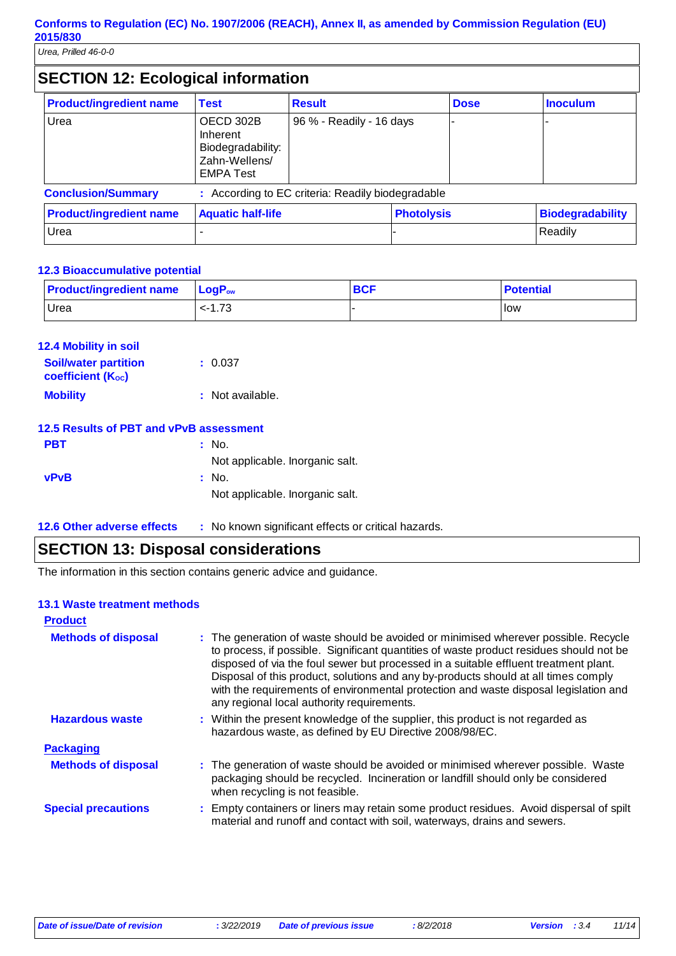# **SECTION 12: Ecological information**

| <b>Product/ingredient name</b> | <b>Test</b>                                                                     | <b>Result</b>                                     |                   | <b>Dose</b> | <b>Inoculum</b>         |
|--------------------------------|---------------------------------------------------------------------------------|---------------------------------------------------|-------------------|-------------|-------------------------|
| Urea                           | OECD 302B<br>Inherent<br>Biodegradability:<br>Zahn-Wellens/<br><b>EMPA Test</b> | 96 % - Readily - 16 days                          |                   |             |                         |
| <b>Conclusion/Summary</b>      |                                                                                 | : According to EC criteria: Readily biodegradable |                   |             |                         |
| <b>Product/ingredient name</b> | <b>Aquatic half-life</b>                                                        |                                                   | <b>Photolysis</b> |             | <b>Biodegradability</b> |
| Urea                           |                                                                                 |                                                   |                   |             | Readily                 |

### **12.3 Bioaccumulative potential**

| <b>Product/ingredient name</b> | $\mathsf{LocP}_\mathsf{ow}$ | <b>BCF</b> | <b>Potential</b> |
|--------------------------------|-----------------------------|------------|------------------|
| Urea                           | $< -1.73$                   |            | <b>I</b> low     |

| <b>12.4 Mobility in soil</b>                            |                  |
|---------------------------------------------------------|------------------|
| <b>Soil/water partition</b><br><b>coefficient (Koc)</b> | : 0.037          |
| <b>Mobility</b>                                         | : Not available. |

### **12.5 Results of PBT and vPvB assessment**

| <b>PBT</b>  | : No.                           |
|-------------|---------------------------------|
|             | Not applicable. Inorganic salt. |
| <b>vPvB</b> | : No.                           |
|             | Not applicable. Inorganic salt. |
|             |                                 |

**12.6 Other adverse effects** : No known significant effects or critical hazards.

### **SECTION 13: Disposal considerations**

The information in this section contains generic advice and guidance.

### **13.1 Waste treatment methods**

| <b>Product</b>             |                                                                                                                                                                                                                                                                                                                                                                                                                                                                                                    |
|----------------------------|----------------------------------------------------------------------------------------------------------------------------------------------------------------------------------------------------------------------------------------------------------------------------------------------------------------------------------------------------------------------------------------------------------------------------------------------------------------------------------------------------|
| <b>Methods of disposal</b> | : The generation of waste should be avoided or minimised wherever possible. Recycle<br>to process, if possible. Significant quantities of waste product residues should not be<br>disposed of via the foul sewer but processed in a suitable effluent treatment plant.<br>Disposal of this product, solutions and any by-products should at all times comply<br>with the requirements of environmental protection and waste disposal legislation and<br>any regional local authority requirements. |
| <b>Hazardous waste</b>     | : Within the present knowledge of the supplier, this product is not regarded as<br>hazardous waste, as defined by EU Directive 2008/98/EC.                                                                                                                                                                                                                                                                                                                                                         |
| <b>Packaging</b>           |                                                                                                                                                                                                                                                                                                                                                                                                                                                                                                    |
| <b>Methods of disposal</b> | : The generation of waste should be avoided or minimised wherever possible. Waste<br>packaging should be recycled. Incineration or landfill should only be considered<br>when recycling is not feasible.                                                                                                                                                                                                                                                                                           |
| <b>Special precautions</b> | : Empty containers or liners may retain some product residues. Avoid dispersal of spilt<br>material and runoff and contact with soil, waterways, drains and sewers.                                                                                                                                                                                                                                                                                                                                |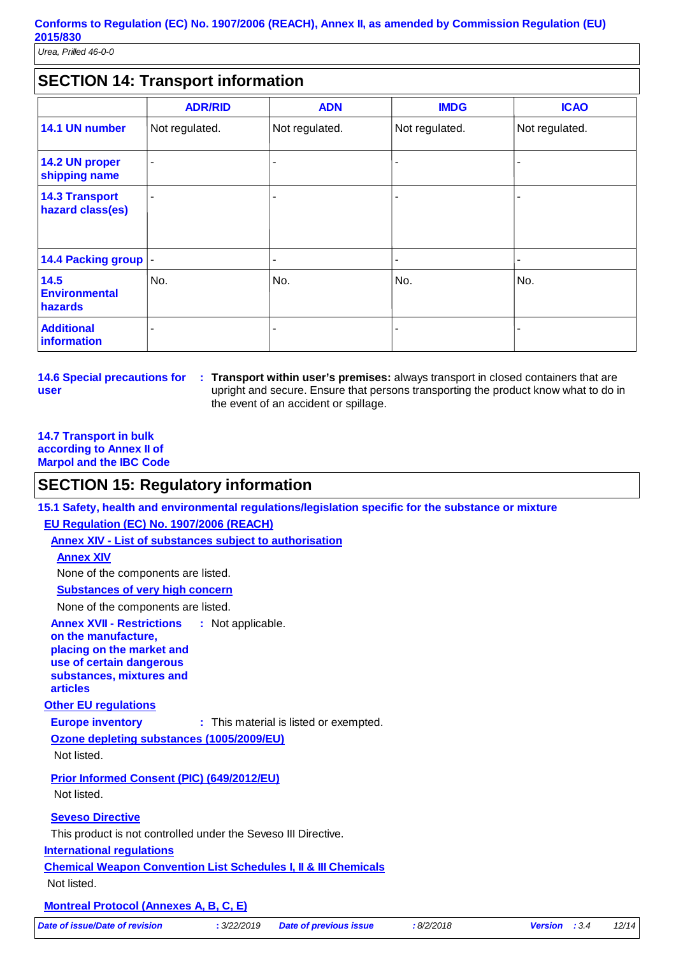*Urea, Prilled 46-0-0*

### **SECTION 14: Transport information**

|                                           | <b>ADR/RID</b> | <b>ADN</b>     | <b>IMDG</b>    | <b>ICAO</b>    |
|-------------------------------------------|----------------|----------------|----------------|----------------|
| 14.1 UN number                            | Not regulated. | Not regulated. | Not regulated. | Not regulated. |
| 14.2 UN proper<br>shipping name           | ٠              |                |                | -              |
| <b>14.3 Transport</b><br>hazard class(es) | ٠              |                |                | -              |
| 14.4 Packing group  -                     |                |                |                | -              |
| 14.5<br><b>Environmental</b><br>hazards   | No.            | No.            | No.            | No.            |
| <b>Additional</b><br>information          | -              |                |                |                |

**14.6 Special precautions for user**

**Transport within user's premises:** always transport in closed containers that are **:** upright and secure. Ensure that persons transporting the product know what to do in the event of an accident or spillage.

### **14.7 Transport in bulk according to Annex II of Marpol and the IBC Code**

### **SECTION 15: Regulatory information**

**Other EU regulations Annex XVII - Restrictions on the manufacture, placing on the market and use of certain dangerous substances, mixtures and articles** : Not applicable. **Europe inventory :** This material is listed or exempted. **International regulations 15.1 Safety, health and environmental regulations/legislation specific for the substance or mixture EU Regulation (EC) No. 1907/2006 (REACH) Annex XIV - List of substances subject to authorisation Substances of very high concern** None of the components are listed. **Seveso Directive** This product is not controlled under the Seveso III Directive. **Annex XIV** None of the components are listed. **Chemical Weapon Convention List Schedules I, II & III Chemicals Montreal Protocol (Annexes A, B, C, E)** Not listed. **Ozone depleting substances (1005/2009/EU)** Not listed. **Prior Informed Consent (PIC) (649/2012/EU)** Not listed. *Date of issue/Date of revision* **:** *3/22/2019 Date of previous issue : 8/2/2018 Version : 3.4 12/14*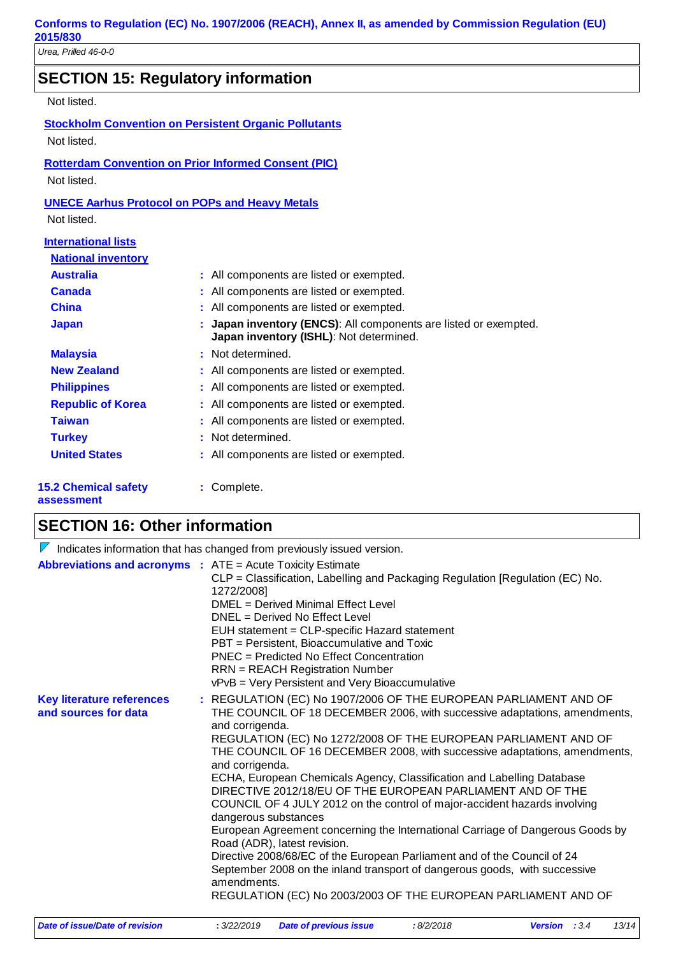*Urea, Prilled 46-0-0*

# **SECTION 15: Regulatory information**

### Not listed.

**Stockholm Convention on Persistent Organic Pollutants** Not listed.

### **Rotterdam Convention on Prior Informed Consent (PIC)** Not listed.

### **UNECE Aarhus Protocol on POPs and Heavy Metals**

Not listed.

| <b>International lists</b> |                                                                                                             |
|----------------------------|-------------------------------------------------------------------------------------------------------------|
| <b>National inventory</b>  |                                                                                                             |
| <b>Australia</b>           | : All components are listed or exempted.                                                                    |
| <b>Canada</b>              | : All components are listed or exempted.                                                                    |
| <b>China</b>               | : All components are listed or exempted.                                                                    |
| <b>Japan</b>               | : Japan inventory (ENCS): All components are listed or exempted.<br>Japan inventory (ISHL): Not determined. |
| <b>Malaysia</b>            | : Not determined.                                                                                           |
| <b>New Zealand</b>         | : All components are listed or exempted.                                                                    |
| <b>Philippines</b>         | : All components are listed or exempted.                                                                    |
| <b>Republic of Korea</b>   | : All components are listed or exempted.                                                                    |
| <b>Taiwan</b>              | : All components are listed or exempted.                                                                    |
| <b>Turkey</b>              | : Not determined.                                                                                           |
| <b>United States</b>       | : All components are listed or exempted.                                                                    |
|                            |                                                                                                             |

#### **15.2 Chemical safety assessment**

**:** Complete.

# **SECTION 16: Other information**

|                                                          | Indicates information that has changed from previously issued version.                                                                                                                                                                                                                                                                                                                                                                                                                                                                                                                                                                                                                                                                                                                                                                                                                                                                       |
|----------------------------------------------------------|----------------------------------------------------------------------------------------------------------------------------------------------------------------------------------------------------------------------------------------------------------------------------------------------------------------------------------------------------------------------------------------------------------------------------------------------------------------------------------------------------------------------------------------------------------------------------------------------------------------------------------------------------------------------------------------------------------------------------------------------------------------------------------------------------------------------------------------------------------------------------------------------------------------------------------------------|
|                                                          | <b>Abbreviations and acronyms :</b> ATE = Acute Toxicity Estimate<br>CLP = Classification, Labelling and Packaging Regulation [Regulation (EC) No.<br>1272/2008]<br>DMEL = Derived Minimal Effect Level<br>$DNEL = Derived No Effect Level$<br>EUH statement = CLP-specific Hazard statement<br>PBT = Persistent, Bioaccumulative and Toxic<br>PNEC = Predicted No Effect Concentration<br><b>RRN = REACH Registration Number</b><br>vPvB = Very Persistent and Very Bioaccumulative                                                                                                                                                                                                                                                                                                                                                                                                                                                         |
| <b>Key literature references</b><br>and sources for data | : REGULATION (EC) No 1907/2006 OF THE EUROPEAN PARLIAMENT AND OF<br>THE COUNCIL OF 18 DECEMBER 2006, with successive adaptations, amendments,<br>and corrigenda.<br>REGULATION (EC) No 1272/2008 OF THE EUROPEAN PARLIAMENT AND OF<br>THE COUNCIL OF 16 DECEMBER 2008, with successive adaptations, amendments,<br>and corrigenda.<br>ECHA, European Chemicals Agency, Classification and Labelling Database<br>DIRECTIVE 2012/18/EU OF THE EUROPEAN PARLIAMENT AND OF THE<br>COUNCIL OF 4 JULY 2012 on the control of major-accident hazards involving<br>dangerous substances<br>European Agreement concerning the International Carriage of Dangerous Goods by<br>Road (ADR), latest revision.<br>Directive 2008/68/EC of the European Parliament and of the Council of 24<br>September 2008 on the inland transport of dangerous goods, with successive<br>amendments.<br>REGULATION (EC) No 2003/2003 OF THE EUROPEAN PARLIAMENT AND OF |
|                                                          |                                                                                                                                                                                                                                                                                                                                                                                                                                                                                                                                                                                                                                                                                                                                                                                                                                                                                                                                              |

| Date of issue/Date of revision | : 3/22/2019 Date of previous issue | :8/2/2018 | <b>Version</b> : $3.4$ | 13/14 |
|--------------------------------|------------------------------------|-----------|------------------------|-------|
|                                |                                    |           |                        |       |